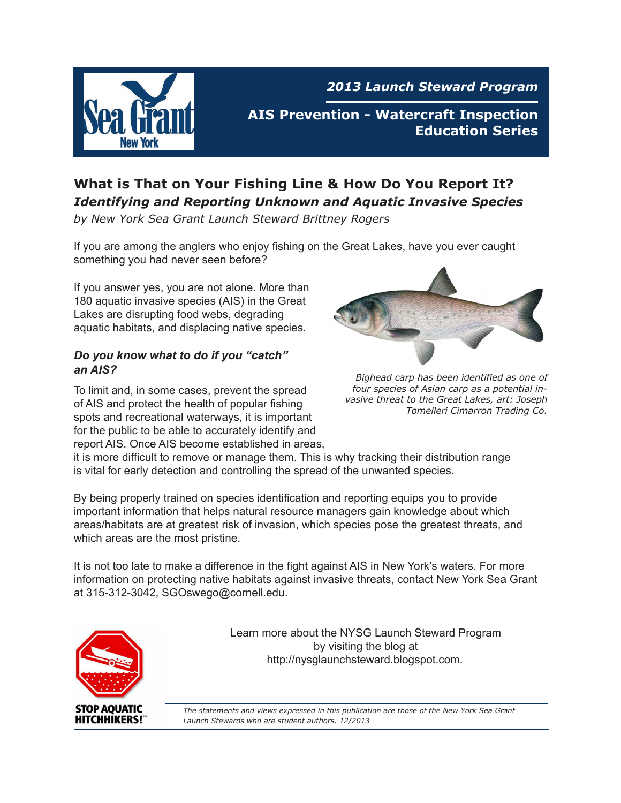

*2013 Launch Steward Program*

**AIS Prevention - Watercraft Inspection Education Series**

## **What is That on Your Fishing Line & How Do You Report It?** *Identifying and Reporting Unknown and Aquatic Invasive Species*

*by New York Sea Grant Launch Steward Brittney Rogers*

If you are among the anglers who enjoy fishing on the Great Lakes, have you ever caught something you had never seen before?

If you answer yes, you are not alone. More than 180 aquatic invasive species (AIS) in the Great Lakes are disrupting food webs, degrading aquatic habitats, and displacing native species.

#### *Do you know what to do if you "catch" an AIS?*

To limit and, in some cases, prevent the spread of AIS and protect the health of popular fishing spots and recreational waterways, it is important for the public to be able to accurately identify and report AIS. Once AIS become established in areas,



*Bighead carp has been identified as one of four species of Asian carp as a potential invasive threat to the Great Lakes, art: Joseph Tomelleri Cimarron Trading Co.*

it is more difficult to remove or manage them. This is why tracking their distribution range is vital for early detection and controlling the spread of the unwanted species.

By being properly trained on species identification and reporting equips you to provide important information that helps natural resource managers gain knowledge about which areas/habitats are at greatest risk of invasion, which species pose the greatest threats, and which areas are the most pristine.

It is not too late to make a difference in the fight against AIS in New York's waters. For more information on protecting native habitats against invasive threats, contact New York Sea Grant at 315-312-3042, SGOswego@cornell.edu.



Learn more about the NYSG Launch Steward Program by visiting the blog at http://nysglaunchsteward.blogspot.com.

*The statements and views expressed in this publication are those of the New York Sea Grant Launch Stewards who are student authors. 12/2013*